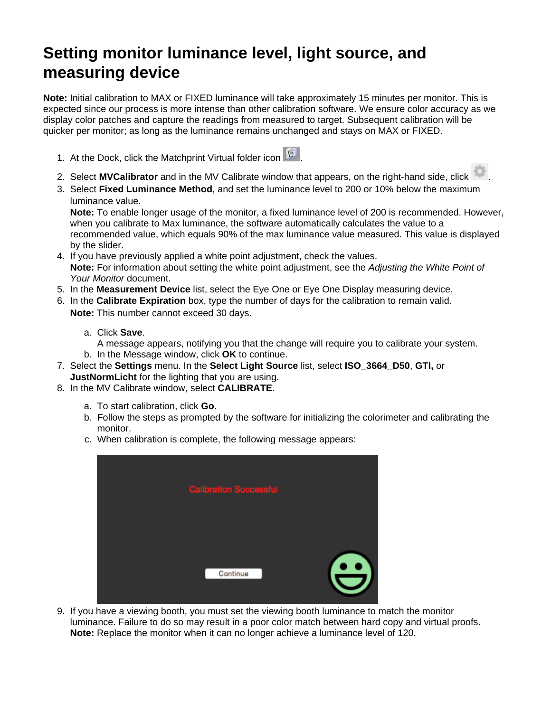## **Setting monitor luminance level, light source, and measuring device**

**Note:** Initial calibration to MAX or FIXED luminance will take approximately 15 minutes per monitor. This is expected since our process is more intense than other calibration software. We ensure color accuracy as we display color patches and capture the readings from measured to target. Subsequent calibration will be quicker per monitor; as long as the luminance remains unchanged and stays on MAX or FIXED.

- 1. At the Dock, click the Matchprint Virtual folder icon
- 2. Select **MVCalibrator** and in the MV Calibrate window that appears, on the right-hand side, click .
- 3. Select **Fixed Luminance Method**, and set the luminance level to 200 or 10% below the maximum luminance value.

**Note:** To enable longer usage of the monitor, a fixed luminance level of 200 is recommended. However, when you calibrate to Max luminance, the software automatically calculates the value to a recommended value, which equals 90% of the max luminance value measured. This value is displayed by the slider.

- 4. If you have previously applied a white point adjustment, check the values. **Note:** For information about setting the white point adjustment, see the Adjusting the White Point of Your Monitor document.
- 5. In the **Measurement Device** list, select the Eye One or Eye One Display measuring device.
- 6. In the **Calibrate Expiration** box, type the number of days for the calibration to remain valid. **Note:** This number cannot exceed 30 days.
	- a. Click **Save**.

A message appears, notifying you that the change will require you to calibrate your system.

- b. In the Message window, click **OK** to continue.
- 7. Select the **Settings** menu. In the **Select Light Source** list, select **ISO\_3664\_D50**, **GTI,** or **JustNormLicht** for the lighting that you are using.
- 8. In the MV Calibrate window, select **CALIBRATE**.
	- a. To start calibration, click **Go**.
	- b. Follow the steps as prompted by the software for initializing the colorimeter and calibrating the monitor.
	- c. When calibration is complete, the following message appears:

| <b>Calibration Successful</b> |                      |
|-------------------------------|----------------------|
| Continue                      | $\dddot{\mathbf{c}}$ |

9. If you have a viewing booth, you must set the viewing booth luminance to match the monitor luminance. Failure to do so may result in a poor color match between hard copy and virtual proofs. **Note:** Replace the monitor when it can no longer achieve a luminance level of 120.